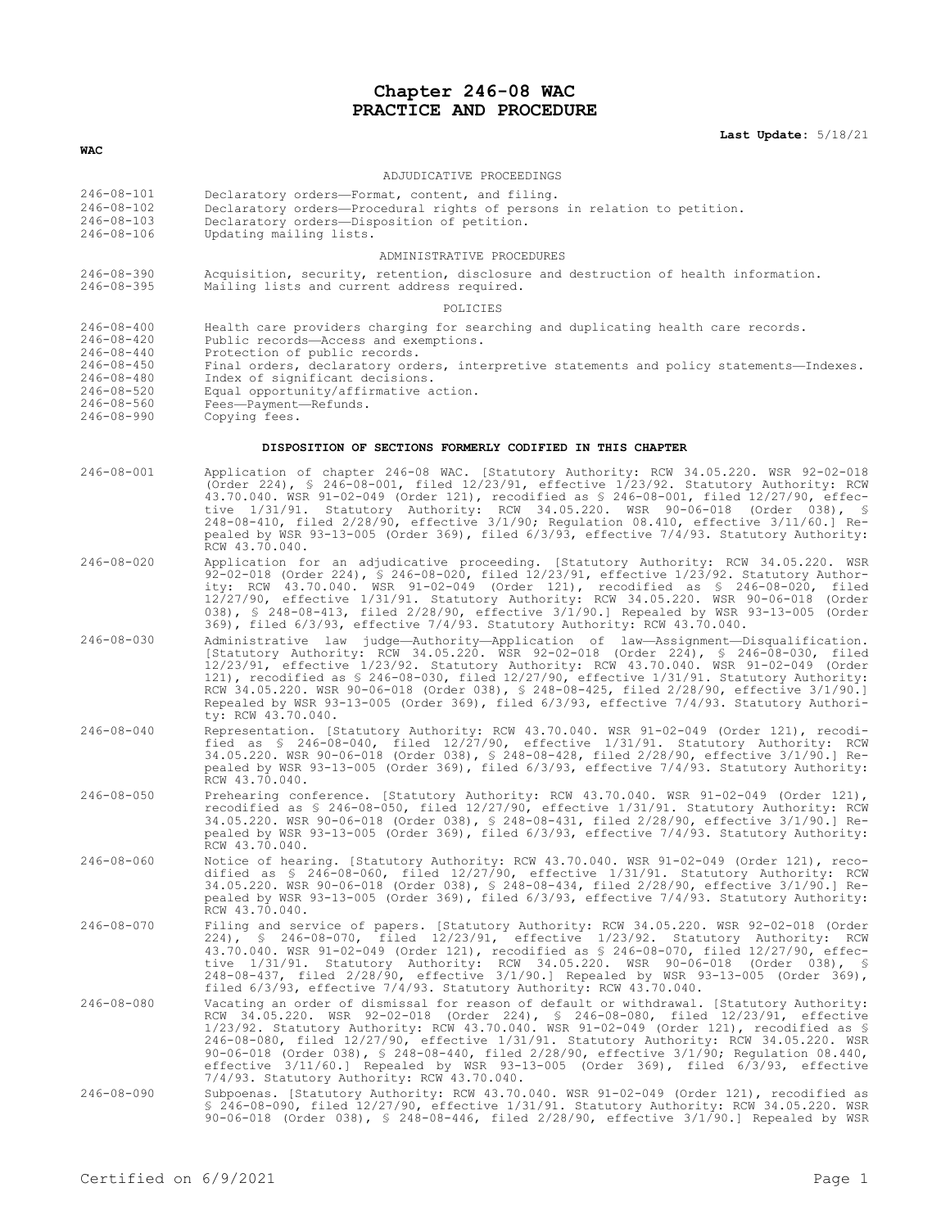# **Chapter 246-08 WAC PRACTICE AND PROCEDURE**

### **Last Update:** 5/18/21

### **WAC**

#### ADJUDICATIVE PROCEEDINGS

- 246-08-101 Declaratory orders—Format, content, and filing.
- 246-08-102 Declaratory orders—Procedural rights of persons in relation to petition.<br>246-08-103 Declaratory orders—Disposition of petition
- 246-08-103 Declaratory orders—Disposition of petition. Updating mailing lists.

## ADMINISTRATIVE PROCEDURES

246-08-390 Acquisition, security, retention, disclosure and destruction of health information. Mailing lists and current address required.

#### POLICIES

- 246-08-400 Health care providers charging for searching and duplicating health care records.<br>246-08-420 Public records—Access and exemptions. 246-08-420 Public records—Access and exemptions. 246-08-440 Protection of public records. 246-08-450 Final orders, declaratory orders, interpretive statements and policy statements—Indexes. 246-08-480 Index of significant decisions. 246-08-520 Equal opportunity/affirmative action. 246-08-560 Fees—Payment—Refunds.
- Copying fees.

#### **DISPOSITION OF SECTIONS FORMERLY CODIFIED IN THIS CHAPTER**

- 246-08-001 Application of chapter 246-08 WAC. [Statutory Authority: RCW 34.05.220. WSR 92-02-018 (Order 224), § 246-08-001, filed 12/23/91, effective 1/23/92. Statutory Authority: RCW 43.70.040. WSR 91-02-049 (Order 121), recodified as § 246-08-001, filed 12/27/90, effective 1/31/91. Statutory Authority: RCW 34.05.220. WSR 90-06-018 (Order 038), § 248-08-410, filed 2/28/90, effective 3/1/90; Regulation 08.410, effective 3/11/60.] Repealed by WSR 93-13-005 (Order 369), filed 6/3/93, effective 7/4/93. Statutory Authority: RCW 43.70.040.
- 246-08-020 Application for an adjudicative proceeding. [Statutory Authority: RCW 34.05.220. WSR 92-02-018 (Order 224), § 246-08-020, filed 12/23/91, effective 1/23/92. Statutory Authority: RCW 43.70.040. WSR 91-02-049 (Order 121), recodified as § 246-08-020, filed 12/27/90, effective 1/31/91. Statutory Authority: RCW 34.05.220. WSR 90-06-018 (Order 038), § 248-08-413, filed 2/28/90, effective 3/1/90.] Repealed by WSR 93-13-005 (Order 369), filed 6/3/93, effective 7/4/93. Statutory Authority: RCW 43.70.040.
- 246-08-030 Administrative law judge—Authority—Application of law—Assignment—Disqualification. [Statutory Authority: RCW 34.05.220. WSR 92-02-018 (Order 224), § 246-08-030, filed 12/23/91, effective 1/23/92. Statutory Authority: RCW 43.70.040. WSR 91-02-049 (Order 121), recodified as § 246-08-030, filed 12/27/90, effective 1/31/91. Statutory Authority: RCW 34.05.220. WSR 90-06-018 (Order 038), § 248-08-425, filed 2/28/90, effective 3/1/90.] Repealed by WSR 93-13-005 (Order 369), filed 6/3/93, effective 7/4/93. Statutory Authority: RCW 43.70.040.
- 246-08-040 Representation. [Statutory Authority: RCW 43.70.040. WSR 91-02-049 (Order 121), recodified as § 246-08-040, filed 12/27/90, effective 1/31/91. Statutory Authority: RCW 34.05.220. WSR 90-06-018 (Order 038), § 248-08-428, filed 2/28/90, effective 3/1/90.] Repealed by WSR 93-13-005 (Order 369), filed 6/3/93, effective 7/4/93. Statutory Authority: RCW 43.70.040.
- 246-08-050 Prehearing conference. [Statutory Authority: RCW 43.70.040. WSR 91-02-049 (Order 121), recodified as § 246-08-050, filed 12/27/90, effective 1/31/91. Statutory Authority: RCW 34.05.220. WSR 90-06-018 (Order 038), § 248-08-431, filed 2/28/90, effective 3/1/90.] Repealed by WSR 93-13-005 (Order 369), filed 6/3/93, effective 7/4/93. Statutory Authority: RCW 43.70.040.
- 246-08-060 Notice of hearing. [Statutory Authority: RCW 43.70.040. WSR 91-02-049 (Order 121), recodified as § 246-08-060, filed 12/27/90, effective 1/31/91. Statutory Authority: RCW 34.05.220. WSR 90-06-018 (Order 038), § 248-08-434, filed 2/28/90, effective 3/1/90.] Repealed by WSR 93-13-005 (Order 369), filed 6/3/93, effective 7/4/93. Statutory Authority: RCW 43.70.040.
- 246-08-070 Filing and service of papers. [Statutory Authority: RCW 34.05.220. WSR 92-02-018 (Order 224), § 246-08-070, filed 12/23/91, effective 1/23/92. Statutory Authority: RCW 43.70.040. WSR 91-02-049 (Order 121), recodified as § 246-08-070, filed 12/27/90, effective 1/31/91. Statutory Authority: RCW 34.05.220. WSR 90-06-018 (Order 038), § 248-08-437, filed 2/28/90, effective 3/1/90.] Repealed by WSR 93-13-005 (Order 369), filed 6/3/93, effective 7/4/93. Statutory Authority: RCW 43.70.040.
- 246-08-080 Vacating an order of dismissal for reason of default or withdrawal. [Statutory Authority: RCW 34.05.220. WSR 92-02-018 (Order 224), § 246-08-080, filed 12/23/91, effective<br>1/23/92. Statutory Authority: RCW 43.70.040. WSR 91-02-049 (Order 121), recodified as §<br>246-08-080, filed 12/27/90, effective 1/31/91. Statu 90-06-018 (Order 038), § 248-08-440, filed 2/28/90, effective 3/1/90; Regulation 08.440, effective 3/11/60.] Repealed by WSR 93-13-005 (Order 369), filed 6/3/93, effective 7/4/93. Statutory Authority: RCW 43.70.040.
- 246-08-090 Subpoenas. [Statutory Authority: RCW 43.70.040. WSR 91-02-049 (Order 121), recodified as § 246-08-090, filed 12/27/90, effective 1/31/91. Statutory Authority: RCW 34.05.220. WSR 90-06-018 (Order 038), § 248-08-446, filed 2/28/90, effective 3/1/90.] Repealed by WSR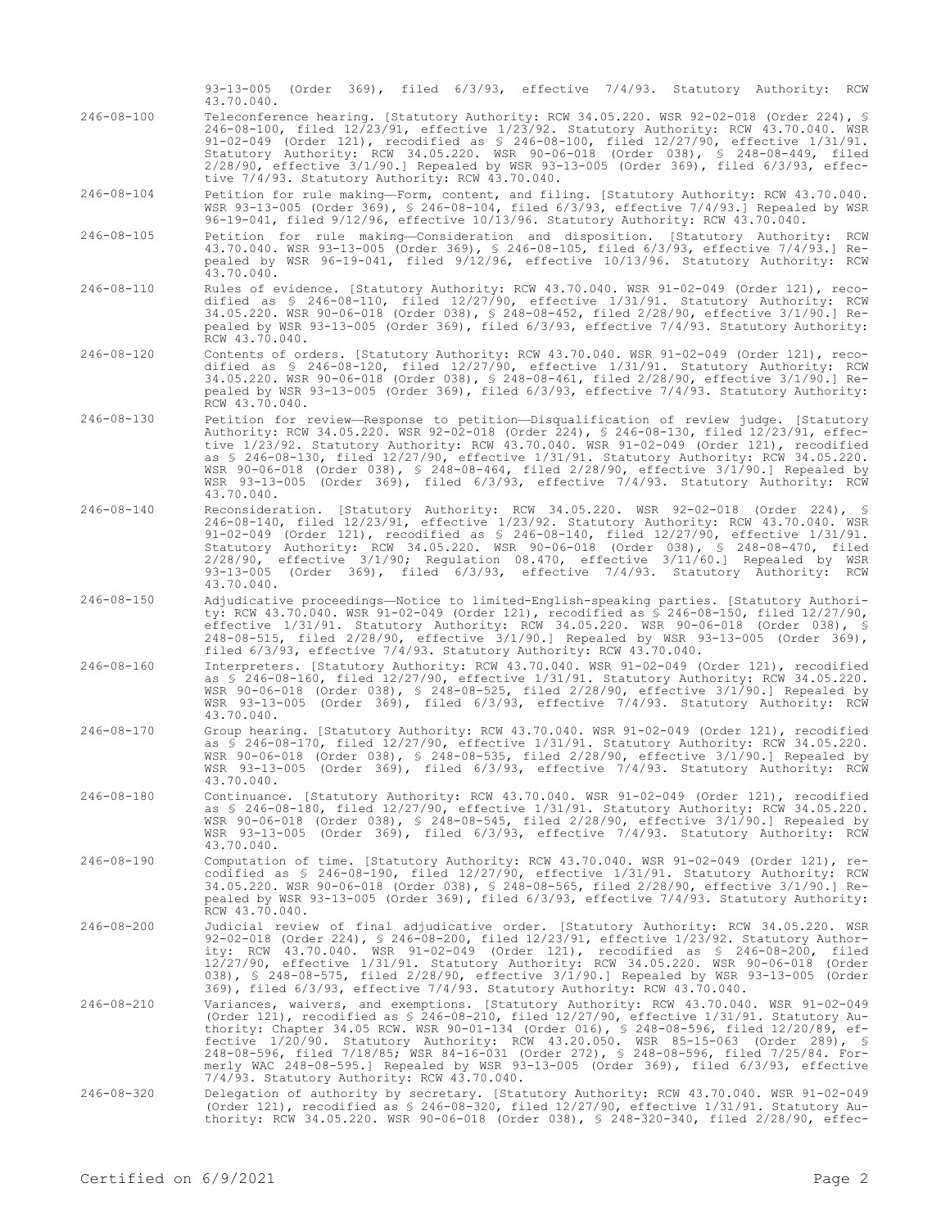|                  | 93-13-005 (Order 369), filed 6/3/93, effective 7/4/93. Statutory Authority: RCW<br>43.70.040.                                                                                                                                                                                                                                                                                                                                                                                                                                                                                                              |
|------------------|------------------------------------------------------------------------------------------------------------------------------------------------------------------------------------------------------------------------------------------------------------------------------------------------------------------------------------------------------------------------------------------------------------------------------------------------------------------------------------------------------------------------------------------------------------------------------------------------------------|
| $246 - 08 - 100$ | Teleconference hearing. [Statutory Authority: RCW 34.05.220. WSR 92-02-018 (Order 224), §<br>246-08-100, filed 12/23/91, effective 1/23/92. Statutory Authority: RCW 43.70.040. WSR<br>91-02-049 (Order 121), recodified as \$ 246-08-100, filed 12/27/90, effective 1/31/91.<br>Statutory Authority: RCW 34.05.220. WSR 90-06-018 (Order 038), § 248-08-449, filed<br>$2/28/90$ , effective $3/1/90$ . Repealed by WSR 93-13-005 (Order 369), filed $6/3/93$ , effec-<br>tive 7/4/93. Statutory Authority: RCW 43.70.040.                                                                                 |
| $246 - 08 - 104$ | Petition for rule making-Form, content, and filing. [Statutory Authority: RCW 43.70.040.<br>WSR 93-13-005 (Order 369), § 246-08-104, filed 6/3/93, effective 7/4/93.] Repealed by WSR<br>96-19-041, filed 9/12/96, effective 10/13/96. Statutory Authority: RCW 43.70.040.                                                                                                                                                                                                                                                                                                                                 |
| $246 - 08 - 105$ | Petition for rule making-Consideration and disposition. [Statutory Authority: RCW<br>43.70.040. WSR 93-13-005 (Order 369), § 246-08-105, filed 6/3/93, effective 7/4/93.] Re-<br>pealed by WSR 96-19-041, filed 9/12/96, effective 10/13/96. Statutory Authority: RCW<br>43.70.040.                                                                                                                                                                                                                                                                                                                        |
| $246 - 08 - 110$ | Rules of evidence. [Statutory Authority: RCW 43.70.040. WSR 91-02-049 (Order 121), reco-<br>dified as $\frac{1}{2}$ 246-08-110, filed 12/27/90, effective 1/31/91. Statutory Authority: RCW<br>34.05.220. WSR 90-06-018 (Order 038), § 248-08-452, filed 2/28/90, effective 3/1/90.] Re-<br>pealed by WSR 93-13-005 (Order 369), filed $6/3/93$ , effective $7/4/93$ . Statutory Authority:<br>RCW 43.70.040.                                                                                                                                                                                              |
| $246 - 08 - 120$ | Contents of orders. [Statutory Authority: RCW 43.70.040. WSR 91-02-049 (Order 121), reco-<br>dified as $\frac{1}{2}$ 246-08-120, filed 12/27/90, effective 1/31/91. Statutory Authority: RCW<br>34.05.220. WSR 90-06-018 (Order 038), § 248-08-461, filed 2/28/90, effective 3/1/90.] Re-<br>pealed by WSR 93-13-005 (Order 369), filed 6/3/93, effective 7/4/93. Statutory Authority:<br>RCW 43.70.040.                                                                                                                                                                                                   |
| $246 - 08 - 130$ | Petition for review—Response to petition—Disqualification of review judge. [Statutory<br>Authority: RCW 34.05.220. WSR 92-02-018 (Order 224), § 246-08-130, filed 12/23/91, effec-<br>tive 1/23/92. Statutory Authority: RCW 43.70.040. WSR 91-02-049 (Order 121), recodified<br>as § 246-08-130, filed 12/27/90, effective 1/31/91. Statutory Authority: RCW 34.05.220.<br>WSR 90-06-018 (Order 038), § 248-08-464, filed 2/28/90, effective 3/1/90.] Repealed by<br>WSR 93-13-005 (Order 369), filed 6/3/93, effective 7/4/93. Statutory Authority: RCW<br>43.70.040.                                    |
| $246 - 08 - 140$ | Reconsideration. [Statutory Authority: RCW 34.05.220. WSR 92-02-018 (Order 224), §<br>246-08-140, filed 12/23/91, effective 1/23/92. Statutory Authority: RCW 43.70.040. WSR<br>91-02-049 (Order 121), recodified as $$ 246-08-140$ , filed $12/27/90$ , effective $1/31/91$ .<br>Statutory Authority: RCW 34.05.220. WSR 90-06-018 (Order 038), § 248-08-470, filed<br>$2/28/90$ , effective $3/1/90$ ; Regulation 08.470, effective $3/11/60$ .] Repealed by WSR<br>93-13-005 (Order 369), filed 6/3/93, effective 7/4/93. Statutory Authority: RCW<br>43.70.040.                                        |
| $246 - 08 - 150$ | Adjudicative proceedings—Notice to limited-English-speaking parties. [Statutory Authori-<br>ty: RCW 43.70.040. WSR 91-02-049 (Order 121), recodified as \$ 246-08-150, filed 12/27/90,<br>effective $1/31/91$ . Statutory Authority: RCW 34.05.220. WSR 90-06-018 (Order 038), §<br>248-08-515, filed 2/28/90, effective 3/1/90.] Repealed by WSR 93-13-005 (Order 369),<br>filed $6/3/93$ , effective $7/4/93$ . Statutory Authority: RCW 43.70.040.                                                                                                                                                      |
| $246 - 08 - 160$ | Interpreters. [Statutory Authority: RCW 43.70.040. WSR 91-02-049 (Order 121), recodified<br>as $$246-08-160$ , filed $12/27/90$ , effective $1/31/91$ . Statutory Authority: RCW 34.05.220.<br>WSR 90-06-018 (Order 038), § 248-08-525, filed 2/28/90, effective 3/1/90.] Repealed by<br>WSR 93-13-005 (Order 369), filed 6/3/93, effective 7/4/93. Statutory Authority: RCW<br>43.70.040.                                                                                                                                                                                                                 |
| $246 - 08 - 170$ | Group hearing. [Statutory Authority: RCW 43.70.040. WSR 91-02-049 (Order 121), recodified<br>as \$ 246-08-170, filed 12/27/90, effective 1/31/91. Statutory Authority: RCW 34.05.220.<br>WSR 90-06-018 (Order 038), § 248-08-535, filed 2/28/90, effective 3/1/90.] Repealed by<br>WSR 93-13-005 (Order 369), filed 6/3/93, effective 7/4/93. Statutory Authority: RCW<br>43.70.040.                                                                                                                                                                                                                       |
| $246 - 08 - 180$ | Continuance. [Statutory Authority: RCW 43.70.040. WSR 91-02-049 (Order 121), recodified<br>as $$246-08-180$ , filed $12/27/90$ , effective $1/31/91$ . Statutory Authority: RCW 34.05.220.<br>WSR 90-06-018 (Order 038), § 248-08-545, filed 2/28/90, effective 3/1/90.] Repealed by<br>WSR 93-13-005 (Order 369), filed 6/3/93, effective 7/4/93. Statutory Authority: RCW<br>43.70.040.                                                                                                                                                                                                                  |
| $246 - 08 - 190$ | Computation of time. [Statutory Authority: RCW 43.70.040. WSR 91-02-049 (Order 121), re-<br>codified as \$ 246-08-190, filed 12/27/90, effective 1/31/91. Statutory Authority: RCW<br>34.05.220. WSR 90-06-018 (Order 038), § 248-08-565, filed 2/28/90, effective 3/1/90.] Re-<br>pealed by WSR 93-13-005 (Order 369), filed 6/3/93, effective 7/4/93. Statutory Authority:<br>RCW 43.70.040.                                                                                                                                                                                                             |
| $246 - 08 - 200$ | Judicial review of final adjudicative order. [Statutory Authority: RCW 34.05.220. WSR<br>92-02-018 (Order 224), § 246-08-200, filed $12/23/91$ , effective $1/23/92$ . Statutory Author-<br>ity: RCW 43.70.040. WSR 91-02-049 (Order 121), recodified as \$ 246-08-200, filed<br>12/27/90, effective 1/31/91. Statutory Authority: RCW 34.05.220. WSR 90-06-018 (Order<br>038), § 248-08-575, filed 2/28/90, effective 3/1/90.] Repealed by WSR 93-13-005 (Order<br>$369$ , filed $6/3/93$ , effective $7/4/93$ . Statutory Authority: RCW 43.70.040.                                                      |
| $246 - 08 - 210$ | Variances, waivers, and exemptions. [Statutory Authority: RCW 43.70.040. WSR 91-02-049<br>(Order 121), recodified as § 246-08-210, filed 12/27/90, effective 1/31/91. Statutory Au-<br>thority: Chapter 34.05 RCW. WSR 90-01-134 (Order 016), § 248-08-596, filed 12/20/89, ef-<br>fective $1/20/90$ . Statutory Authority: RCW 43.20.050. WSR 85-15-063 (Order 289), §<br>248-08-596, filed 7/18/85; WSR 84-16-031 (Order 272), § 248-08-596, filed 7/25/84. For-<br>merly WAC 248-08-595.] Repealed by WSR 93-13-005 (Order 369), filed 6/3/93, effective<br>7/4/93. Statutory Authority: RCW 43.70.040. |
| $246 - 08 - 320$ | Delegation of authority by secretary. [Statutory Authority: RCW 43.70.040. WSR 91-02-049<br>(Order 121), recodified as $$246-08-320$ , filed $12/27/90$ , effective $1/31/91$ . Statutory Au-<br>thority: RCW 34.05.220. WSR 90-06-018 (Order 038), \$ 248-320-340, filed 2/28/90, effec-                                                                                                                                                                                                                                                                                                                  |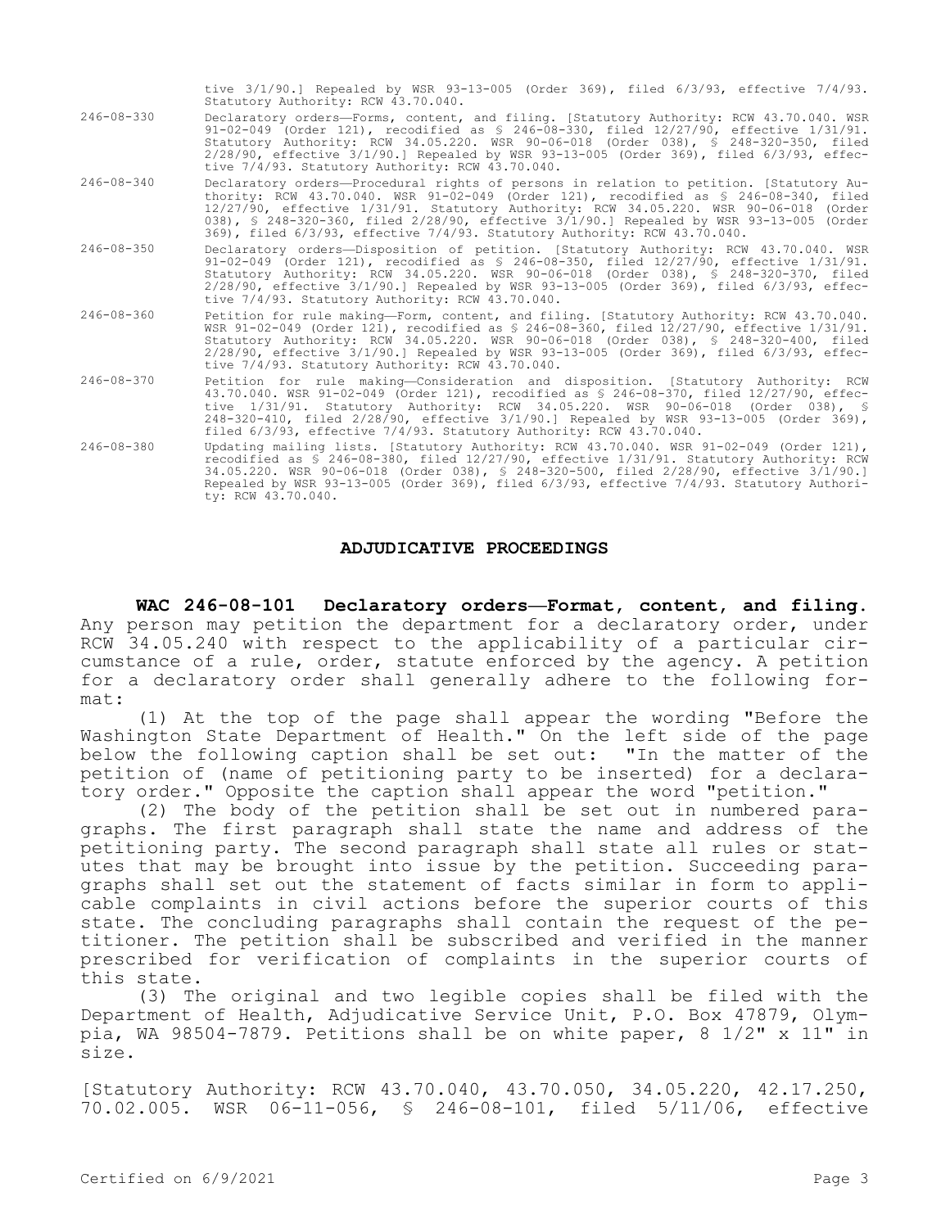|                  | tive $3/1/90$ . Repealed by WSR 93-13-005 (Order 369), filed $6/3/93$ , effective $7/4/93$ .<br>Statutory Authority: RCW 43.70.040.                                                                                                                                                                                                                                                                                                                |
|------------------|----------------------------------------------------------------------------------------------------------------------------------------------------------------------------------------------------------------------------------------------------------------------------------------------------------------------------------------------------------------------------------------------------------------------------------------------------|
| $246 - 08 - 330$ | Declaratory orders-Forms, content, and filing. [Statutory Authority: RCW 43.70.040. WSR<br>91-02-049 (Order 121), recodified as $$ 246-08-330,$ filed $12/27/90$ , effective $1/31/91$ .<br>Statutory Authority: RCW 34.05.220. WSR 90-06-018 (Order 038), § 248-320-350, filed<br>$2/28/90$ , effective $3/1/90$ .] Repealed by WSR 93-13-005 (Order 369), filed 6/3/93, effec-<br>tive 7/4/93. Statutory Authority: RCW 43.70.040.               |
| $246 - 08 - 340$ | Declaratory orders-Procedural rights of persons in relation to petition. [Statutory Au-<br>thority: RCW 43.70.040. WSR 91-02-049 (Order 121), recodified as $$246-08-340$ , filed<br>12/27/90, effective 1/31/91. Statutory Authority: RCW 34.05.220. WSR 90-06-018 (Order<br>038), § 248-320-360, filed 2/28/90, effective 3/1/90.] Repealed by WSR 93-13-005 (Order<br>369), filed 6/3/93, effective 7/4/93. Statutory Authority: RCW 43.70.040. |
| $246 - 08 - 350$ | Declaratory orders-Disposition of petition. [Statutory Authority: RCW 43.70.040. WSR<br>91-02-049 (Order 121), recodified as § 246-08-350, filed 12/27/90, effective 1/31/91.<br>Statutory Authority: RCW 34.05.220. WSR 90-06-018 (Order 038), § 248-320-370, filed<br>$2/28/90$ , effective $3/1/90$ .] Repealed by WSR 93-13-005 (Order 369), filed 6/3/93, effec-<br>tive 7/4/93. Statutory Authority: RCW 43.70.040.                          |
| $246 - 08 - 360$ | Petition for rule making-Form, content, and filing. [Statutory Authority: RCW 43.70.040.<br>WSR 91-02-049 (Order 121), recodified as $\S$ 246-08-360, filed 12/27/90, effective 1/31/91.<br>Statutory Authority: RCW 34.05.220. WSR 90-06-018 (Order 038), § 248-320-400, filed<br>$2/28/90$ , effective $3/1/90$ . Repealed by WSR 93-13-005 (Order 369), filed $6/3/93$ , effec-<br>tive 7/4/93. Statutory Authority: RCW 43.70.040.             |
| $246 - 08 - 370$ | Petition for rule making-Consideration and disposition. [Statutory Authority: RCW<br>43.70.040. WSR 91-02-049 (Order 121), recodified as § 246-08-370, filed 12/27/90, effec-<br>tive 1/31/91. Statutory Authority: RCW 34.05.220. WSR 90-06-018 (Order 038), §<br>248-320-410, filed 2/28/90, effective 3/1/90.] Repealed by WSR 93-13-005 (Order 369),<br>filed 6/3/93, effective 7/4/93. Statutory Authority: RCW 43.70.040.                    |
| $246 - 08 - 380$ | Updating mailing lists. [Statutory Authority: RCW 43.70.040. WSR 91-02-049 (Order 121),<br>recodified as § 246-08-380, filed 12/27/90, effective 1/31/91. Statutory Authority: RCW<br>34.05.220. WSR 90-06-018 (Order 038), § 248-320-500, filed 2/28/90, effective 3/1/90.]<br>Repealed by WSR 93-13-005 (Order 369), filed 6/3/93, effective 7/4/93. Statutory Authori-<br>ty: RCW 43.70.040.                                                    |

## **ADJUDICATIVE PROCEEDINGS**

**WAC 246-08-101 Declaratory orders—Format, content, and filing.**  Any person may petition the department for a declaratory order, under RCW 34.05.240 with respect to the applicability of a particular circumstance of a rule, order, statute enforced by the agency. A petition for a declaratory order shall generally adhere to the following format:

(1) At the top of the page shall appear the wording "Before the Washington State Department of Health." On the left side of the page below the following caption shall be set out: "In the matter of the petition of (name of petitioning party to be inserted) for a declaratory order." Opposite the caption shall appear the word "petition."

(2) The body of the petition shall be set out in numbered paragraphs. The first paragraph shall state the name and address of the petitioning party. The second paragraph shall state all rules or statutes that may be brought into issue by the petition. Succeeding paragraphs shall set out the statement of facts similar in form to applicable complaints in civil actions before the superior courts of this state. The concluding paragraphs shall contain the request of the petitioner. The petition shall be subscribed and verified in the manner prescribed for verification of complaints in the superior courts of this state.

(3) The original and two legible copies shall be filed with the Department of Health, Adjudicative Service Unit, P.O. Box 47879, Olympia, WA 98504-7879. Petitions shall be on white paper, 8  $1/2$ " x 11" in size.

[Statutory Authority: RCW 43.70.040, 43.70.050, 34.05.220, 42.17.250, 70.02.005. WSR 06-11-056, § 246-08-101, filed 5/11/06, effective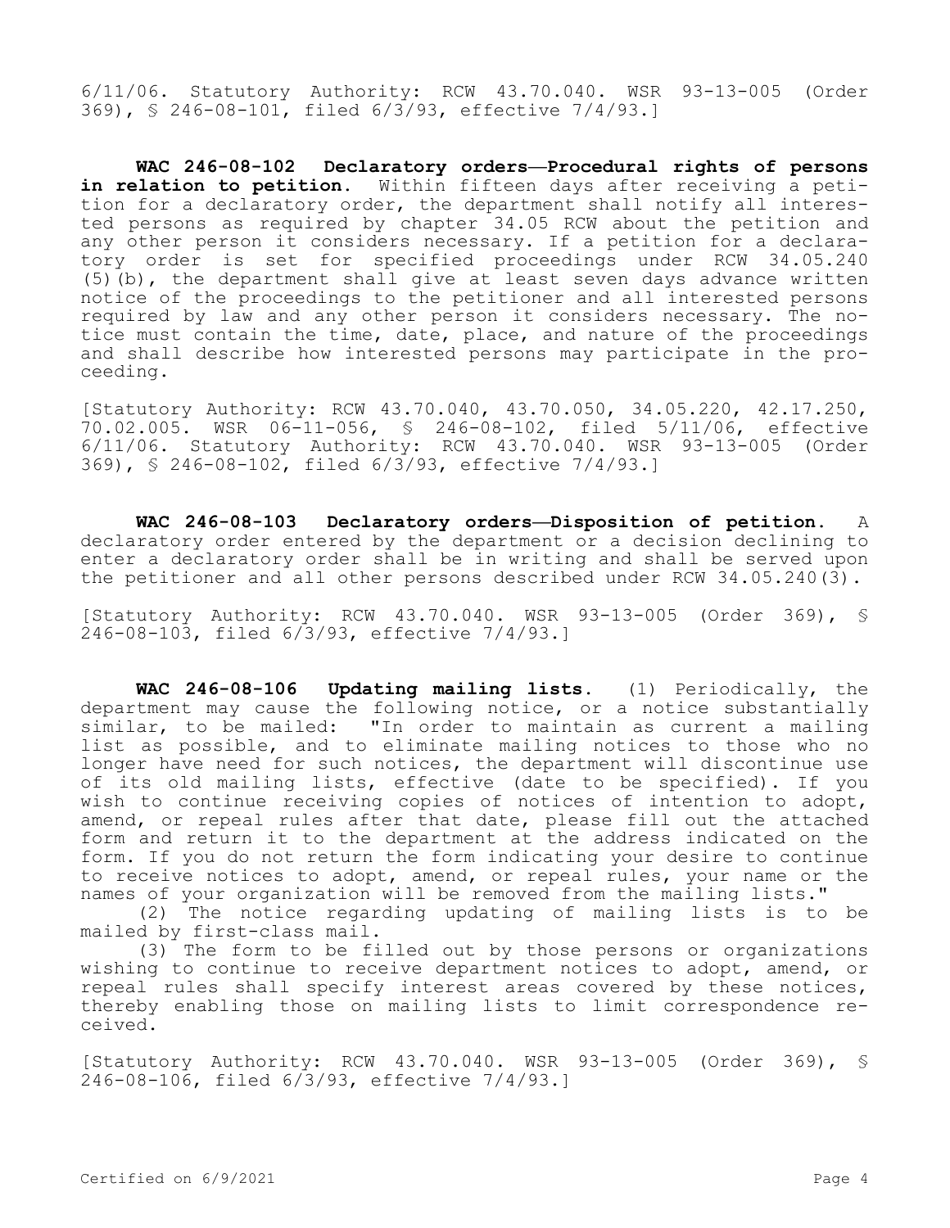6/11/06. Statutory Authority: RCW 43.70.040. WSR 93-13-005 (Order 369), § 246-08-101, filed 6/3/93, effective 7/4/93.]

**WAC 246-08-102 Declaratory orders—Procedural rights of persons in relation to petition.** Within fifteen days after receiving a petition for a declaratory order, the department shall notify all interested persons as required by chapter 34.05 RCW about the petition and any other person it considers necessary. If a petition for a declaratory order is set for specified proceedings under RCW 34.05.240 (5)(b), the department shall give at least seven days advance written notice of the proceedings to the petitioner and all interested persons required by law and any other person it considers necessary. The notice must contain the time, date, place, and nature of the proceedings and shall describe how interested persons may participate in the proceeding.

[Statutory Authority: RCW 43.70.040, 43.70.050, 34.05.220, 42.17.250, 70.02.005. WSR 06-11-056, § 246-08-102, filed 5/11/06, effective 6/11/06. Statutory Authority: RCW 43.70.040. WSR 93-13-005 (Order 369), § 246-08-102, filed 6/3/93, effective 7/4/93.]

**WAC 246-08-103 Declaratory orders—Disposition of petition.** A declaratory order entered by the department or a decision declining to enter a declaratory order shall be in writing and shall be served upon the petitioner and all other persons described under RCW 34.05.240(3).

[Statutory Authority: RCW 43.70.040. WSR 93-13-005 (Order 369), § 246-08-103, filed 6/3/93, effective 7/4/93.]

**WAC 246-08-106 Updating mailing lists.** (1) Periodically, the department may cause the following notice, or a notice substantially similar, to be mailed: "In order to maintain as current a mailing list as possible, and to eliminate mailing notices to those who no longer have need for such notices, the department will discontinue use of its old mailing lists, effective (date to be specified). If you wish to continue receiving copies of notices of intention to adopt, amend, or repeal rules after that date, please fill out the attached form and return it to the department at the address indicated on the form. If you do not return the form indicating your desire to continue to receive notices to adopt, amend, or repeal rules, your name or the names of your organization will be removed from the mailing lists."

(2) The notice regarding updating of mailing lists is to be mailed by first-class mail.

(3) The form to be filled out by those persons or organizations wishing to continue to receive department notices to adopt, amend, or repeal rules shall specify interest areas covered by these notices, thereby enabling those on mailing lists to limit correspondence received.

[Statutory Authority: RCW 43.70.040. WSR 93-13-005 (Order 369), § 246-08-106, filed 6/3/93, effective 7/4/93.]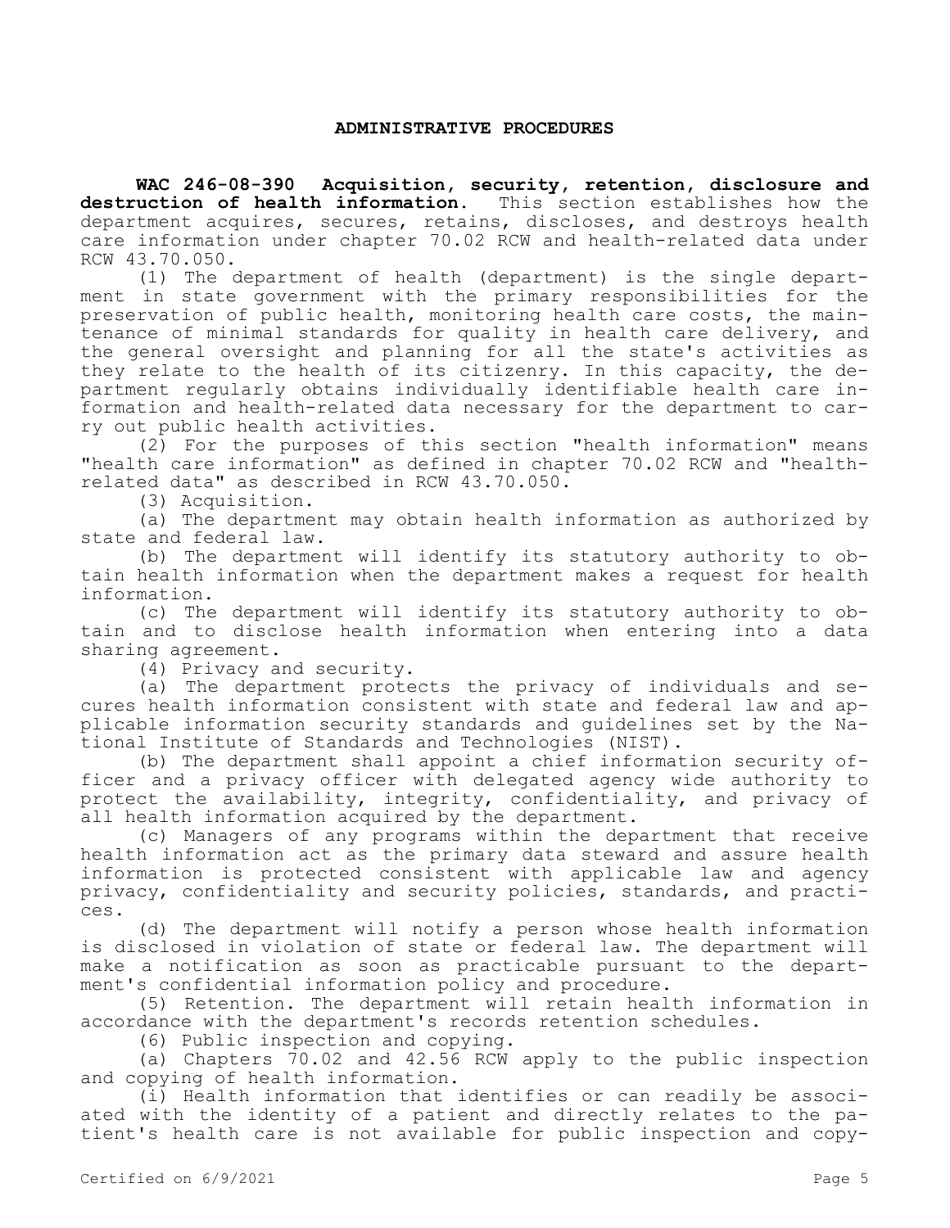# **ADMINISTRATIVE PROCEDURES**

**WAC 246-08-390 Acquisition, security, retention, disclosure and destruction of health information.** This section establishes how the department acquires, secures, retains, discloses, and destroys health care information under chapter 70.02 RCW and health-related data under RCW 43.70.050.

(1) The department of health (department) is the single department in state government with the primary responsibilities for the preservation of public health, monitoring health care costs, the maintenance of minimal standards for quality in health care delivery, and the general oversight and planning for all the state's activities as they relate to the health of its citizenry. In this capacity, the department regularly obtains individually identifiable health care information and health-related data necessary for the department to carry out public health activities.

(2) For the purposes of this section "health information" means "health care information" as defined in chapter 70.02 RCW and "healthrelated data" as described in RCW 43.70.050.

(3) Acquisition.

(a) The department may obtain health information as authorized by state and federal law.

(b) The department will identify its statutory authority to obtain health information when the department makes a request for health information.

(c) The department will identify its statutory authority to obtain and to disclose health information when entering into a data sharing agreement.

(4) Privacy and security.

(a) The department protects the privacy of individuals and secures health information consistent with state and federal law and applicable information security standards and guidelines set by the National Institute of Standards and Technologies (NIST).

(b) The department shall appoint a chief information security officer and a privacy officer with delegated agency wide authority to protect the availability, integrity, confidentiality, and privacy of all health information acquired by the department.

(c) Managers of any programs within the department that receive health information act as the primary data steward and assure health information is protected consistent with applicable law and agency privacy, confidentiality and security policies, standards, and practices.

(d) The department will notify a person whose health information is disclosed in violation of state or federal law. The department will make a notification as soon as practicable pursuant to the department's confidential information policy and procedure.

(5) Retention. The department will retain health information in accordance with the department's records retention schedules.

(6) Public inspection and copying.

(a) Chapters 70.02 and 42.56 RCW apply to the public inspection and copying of health information.

(i) Health information that identifies or can readily be associated with the identity of a patient and directly relates to the patient's health care is not available for public inspection and copy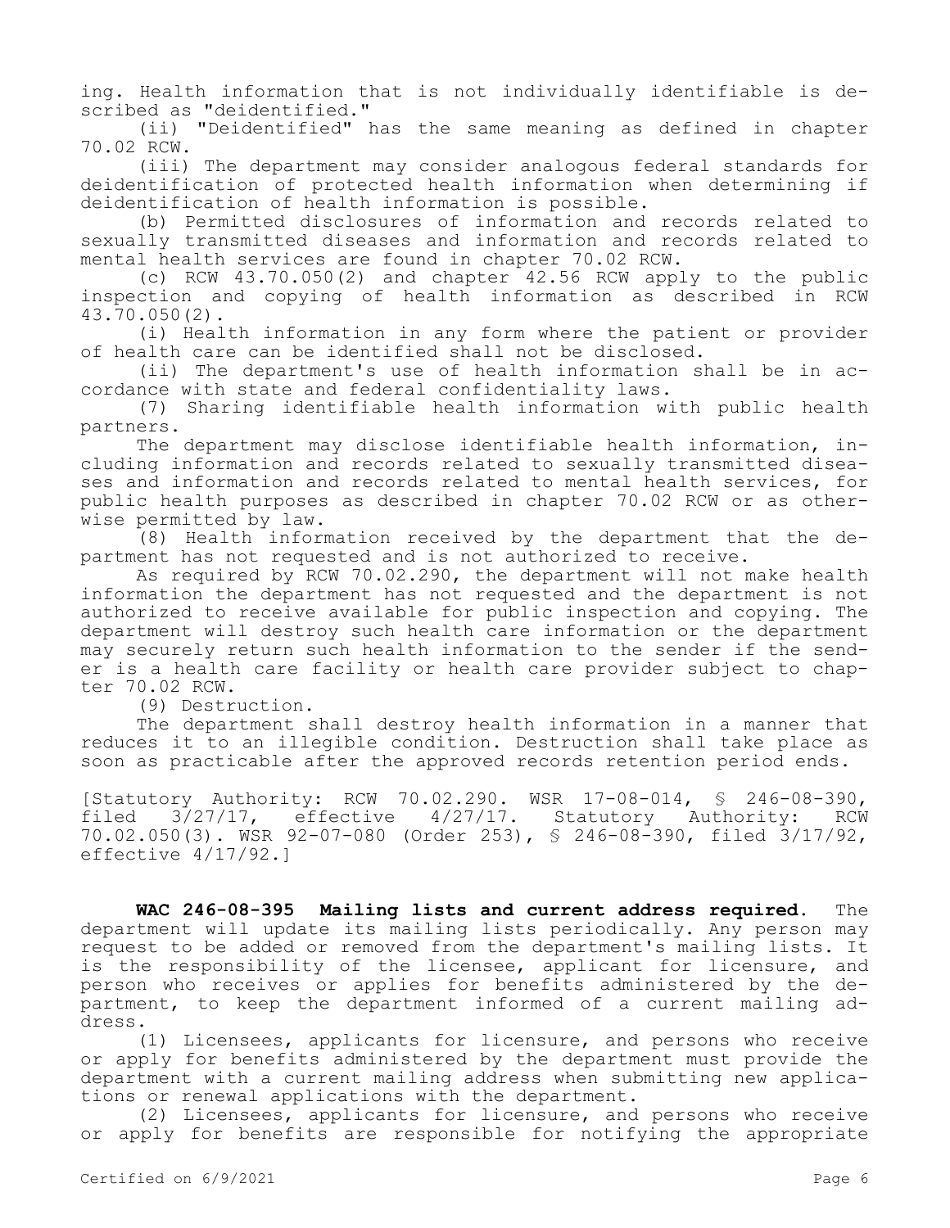ing. Health information that is not individually identifiable is described as "deidentified."

(ii) "Deidentified" has the same meaning as defined in chapter 70.02 RCW.

(iii) The department may consider analogous federal standards for deidentification of protected health information when determining if deidentification of health information is possible.

(b) Permitted disclosures of information and records related to sexually transmitted diseases and information and records related to mental health services are found in chapter 70.02 RCW.

(c) RCW 43.70.050(2) and chapter 42.56 RCW apply to the public inspection and copying of health information as described in RCW 43.70.050(2).

(i) Health information in any form where the patient or provider of health care can be identified shall not be disclosed.

(ii) The department's use of health information shall be in accordance with state and federal confidentiality laws.

(7) Sharing identifiable health information with public health partners.

The department may disclose identifiable health information, including information and records related to sexually transmitted diseases and information and records related to mental health services, for public health purposes as described in chapter 70.02 RCW or as otherwise permitted by law.

(8) Health information received by the department that the department has not requested and is not authorized to receive.

As required by RCW 70.02.290, the department will not make health information the department has not requested and the department is not authorized to receive available for public inspection and copying. The department will destroy such health care information or the department may securely return such health information to the sender if the sender is a health care facility or health care provider subject to chapter 70.02 RCW.

(9) Destruction.

The department shall destroy health information in a manner that reduces it to an illegible condition. Destruction shall take place as soon as practicable after the approved records retention period ends.

[Statutory Authority: RCW 70.02.290. WSR 17-08-014, \$ 246-08-390,<br>filed 3/27/17. effective 4/27/17. Statutory Authority: RCW  $\overline{3}/27/17$ , effective  $4/27/17$ . Statutory Authority: RCW 70.02.050(3). WSR 92-07-080 (Order 253), § 246-08-390, filed 3/17/92, effective 4/17/92.]

**WAC 246-08-395 Mailing lists and current address required.** The department will update its mailing lists periodically. Any person may request to be added or removed from the department's mailing lists. It is the responsibility of the licensee, applicant for licensure, and person who receives or applies for benefits administered by the department, to keep the department informed of a current mailing address.

(1) Licensees, applicants for licensure, and persons who receive or apply for benefits administered by the department must provide the department with a current mailing address when submitting new applications or renewal applications with the department.

(2) Licensees, applicants for licensure, and persons who receive or apply for benefits are responsible for notifying the appropriate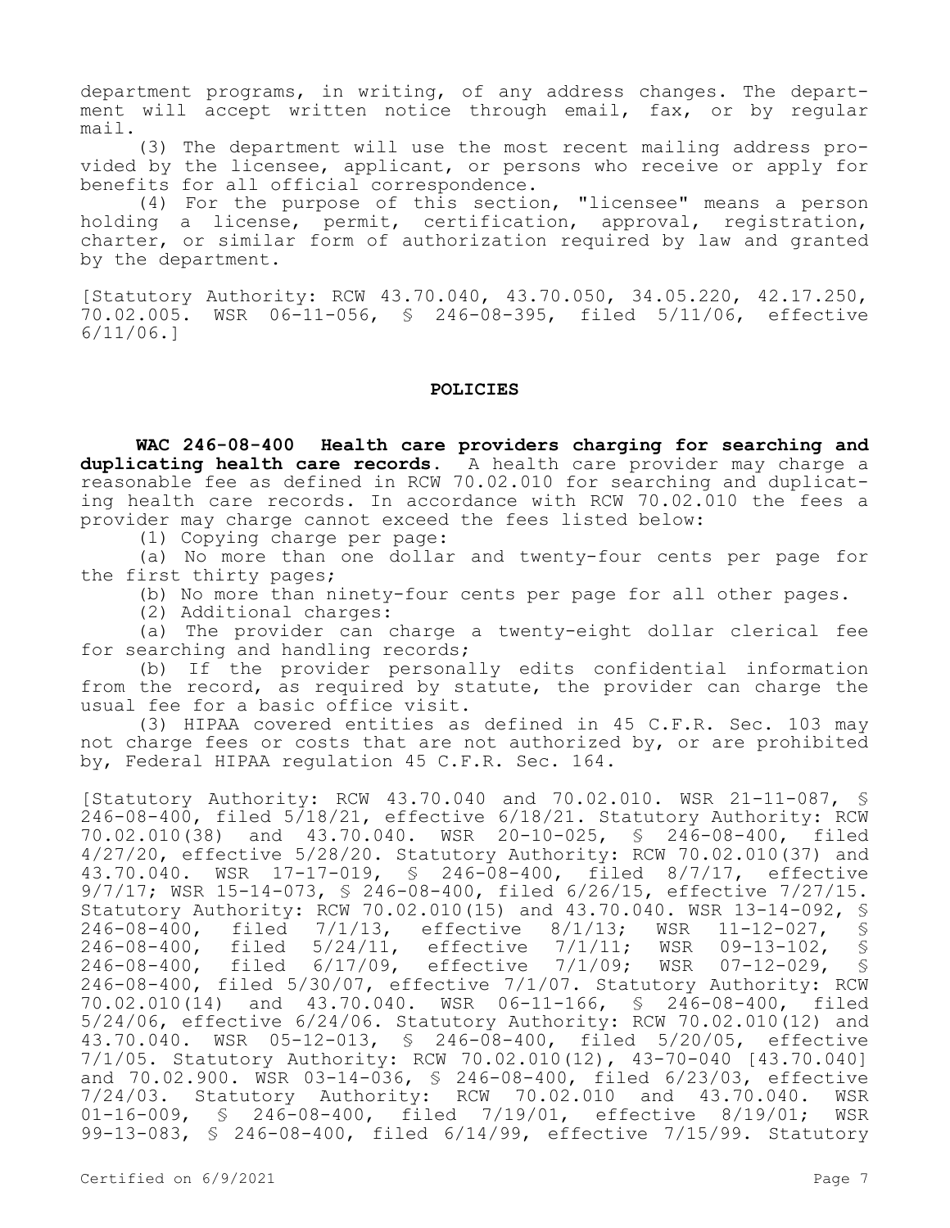department programs, in writing, of any address changes. The department will accept written notice through email, fax, or by regular mail.

(3) The department will use the most recent mailing address provided by the licensee, applicant, or persons who receive or apply for benefits for all official correspondence.

(4) For the purpose of this section, "licensee" means a person holding a license, permit, certification, approval, registration, charter, or similar form of authorization required by law and granted by the department.

[Statutory Authority: RCW 43.70.040, 43.70.050, 34.05.220, 42.17.250, 70.02.005. WSR 06-11-056, § 246-08-395, filed 5/11/06, effective 6/11/06.]

## **POLICIES**

**WAC 246-08-400 Health care providers charging for searching and duplicating health care records.** A health care provider may charge a reasonable fee as defined in RCW 70.02.010 for searching and duplicating health care records. In accordance with RCW 70.02.010 the fees a provider may charge cannot exceed the fees listed below:

(1) Copying charge per page:

(a) No more than one dollar and twenty-four cents per page for the first thirty pages;

(b) No more than ninety-four cents per page for all other pages.

(2) Additional charges:

(a) The provider can charge a twenty-eight dollar clerical fee for searching and handling records;

(b) If the provider personally edits confidential information from the record, as required by statute, the provider can charge the usual fee for a basic office visit.

(3) HIPAA covered entities as defined in 45 C.F.R. Sec. 103 may not charge fees or costs that are not authorized by, or are prohibited by, Federal HIPAA regulation 45 C.F.R. Sec. 164.

[Statutory Authority: RCW 43.70.040 and 70.02.010. WSR 21-11-087, § 246-08-400, filed 5/18/21, effective 6/18/21. Statutory Authority: RCW 70.02.010(38) and 43.70.040. WSR 20-10-025, § 246-08-400, filed 4/27/20, effective 5/28/20. Statutory Authority: RCW 70.02.010(37) and 43.70.040. WSR 17-17-019, § 246-08-400, filed 8/7/17, effective 9/7/17; WSR 15-14-073, § 246-08-400, filed 6/26/15, effective 7/27/15. Statutory Authority: RCW 70.02.010(15) and 43.70.040. WSR 13-14-092, §<br>246-08-400, filed 7/1/13, effective 8/1/13; WSR 11-12-027, § 7/1/13, effective 8/1/13; WSR 11-12-027, §<br>5/24/11, effective 7/1/11; WSR 09-13-102, § 246-08-400, filed 5/24/11, effective 7/1/11; WSR 09-13-102, § 246-08-400, filed 6/17/09, effective 7/1/09; WSR 07-12-029, § 246-08-400, filed 5/30/07, effective 7/1/07. Statutory Authority: RCW 70.02.010(14) and 43.70.040. WSR 06-11-166, § 246-08-400, filed 5/24/06, effective 6/24/06. Statutory Authority: RCW 70.02.010(12) and 43.70.040. WSR 05-12-013, § 246-08-400, filed 5/20/05, effective 7/1/05. Statutory Authority: RCW 70.02.010(12), 43-70-040 [43.70.040] and 70.02.900. WSR 03-14-036, § 246-08-400, filed 6/23/03, effective 7/24/03. Statutory Authority: RCW 70.02.010 and 43.70.040. WSR 01-16-009, § 246-08-400, filed 7/19/01, effective 8/19/01; WSR 99-13-083, § 246-08-400, filed 6/14/99, effective 7/15/99. Statutory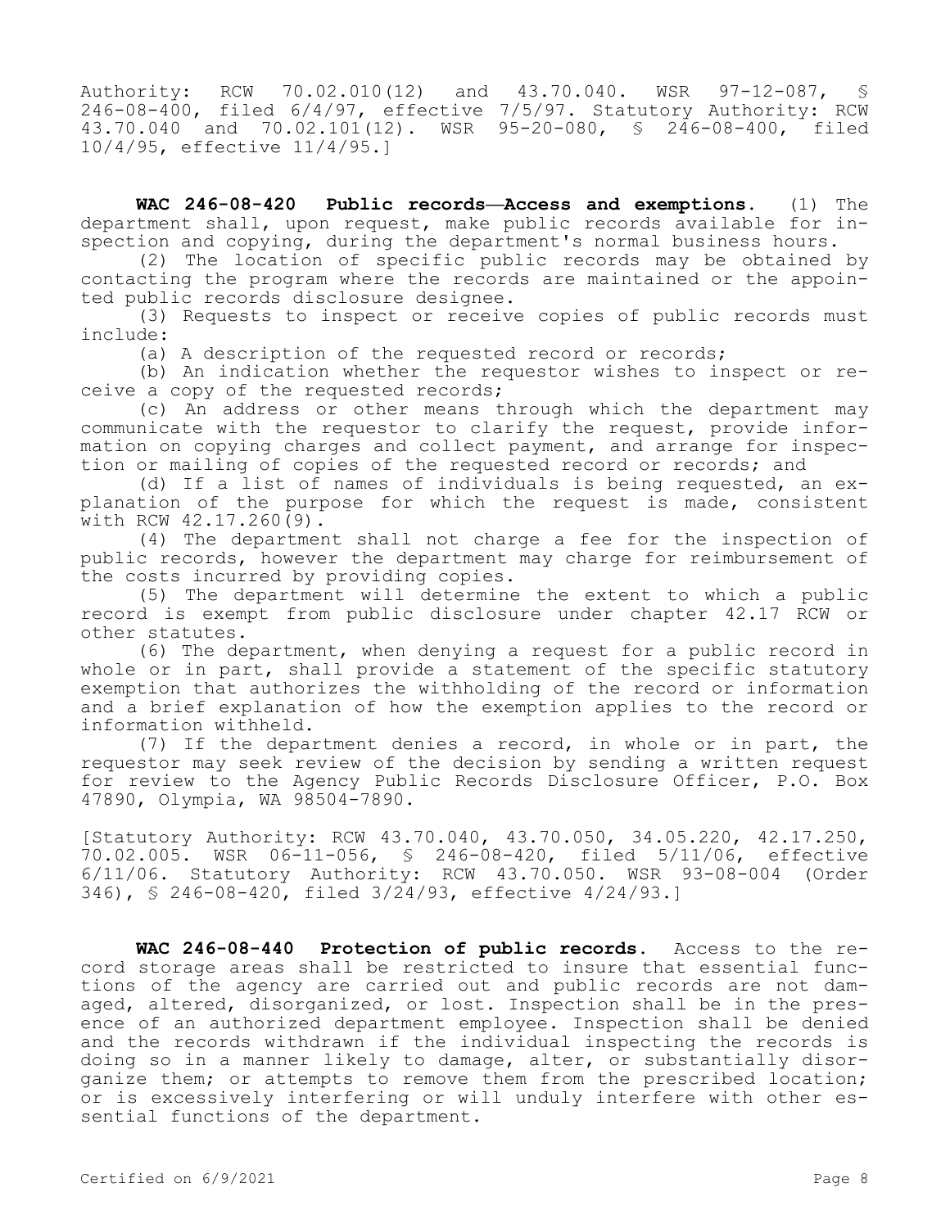Authority: RCW 70.02.010(12) and 43.70.040. WSR 97-12-087, § 246-08-400, filed 6/4/97, effective 7/5/97. Statutory Authority: RCW 43.70.040 and 70.02.101(12). WSR 95-20-080, § 246-08-400, filed 10/4/95, effective 11/4/95.]

**WAC 246-08-420 Public records—Access and exemptions.** (1) The department shall, upon request, make public records available for inspection and copying, during the department's normal business hours.

(2) The location of specific public records may be obtained by contacting the program where the records are maintained or the appointed public records disclosure designee.

(3) Requests to inspect or receive copies of public records must include:

(a) A description of the requested record or records;

(b) An indication whether the requestor wishes to inspect or receive a copy of the requested records;

(c) An address or other means through which the department may communicate with the requestor to clarify the request, provide information on copying charges and collect payment, and arrange for inspection or mailing of copies of the requested record or records; and

(d) If a list of names of individuals is being requested, an explanation of the purpose for which the request is made, consistent with RCW 42.17.260(9).

(4) The department shall not charge a fee for the inspection of public records, however the department may charge for reimbursement of the costs incurred by providing copies.

(5) The department will determine the extent to which a public record is exempt from public disclosure under chapter 42.17 RCW or other statutes.

(6) The department, when denying a request for a public record in whole or in part, shall provide a statement of the specific statutory exemption that authorizes the withholding of the record or information and a brief explanation of how the exemption applies to the record or information withheld.

(7) If the department denies a record, in whole or in part, the requestor may seek review of the decision by sending a written request for review to the Agency Public Records Disclosure Officer, P.O. Box 47890, Olympia, WA 98504-7890.

[Statutory Authority: RCW 43.70.040, 43.70.050, 34.05.220, 42.17.250, 70.02.005. WSR 06-11-056, § 246-08-420, filed 5/11/06, effective 6/11/06. Statutory Authority: RCW 43.70.050. WSR 93-08-004 (Order 346), § 246-08-420, filed 3/24/93, effective 4/24/93.]

**WAC 246-08-440 Protection of public records.** Access to the record storage areas shall be restricted to insure that essential functions of the agency are carried out and public records are not damaged, altered, disorganized, or lost. Inspection shall be in the presence of an authorized department employee. Inspection shall be denied and the records withdrawn if the individual inspecting the records is doing so in a manner likely to damage, alter, or substantially disorganize them; or attempts to remove them from the prescribed location; or is excessively interfering or will unduly interfere with other essential functions of the department.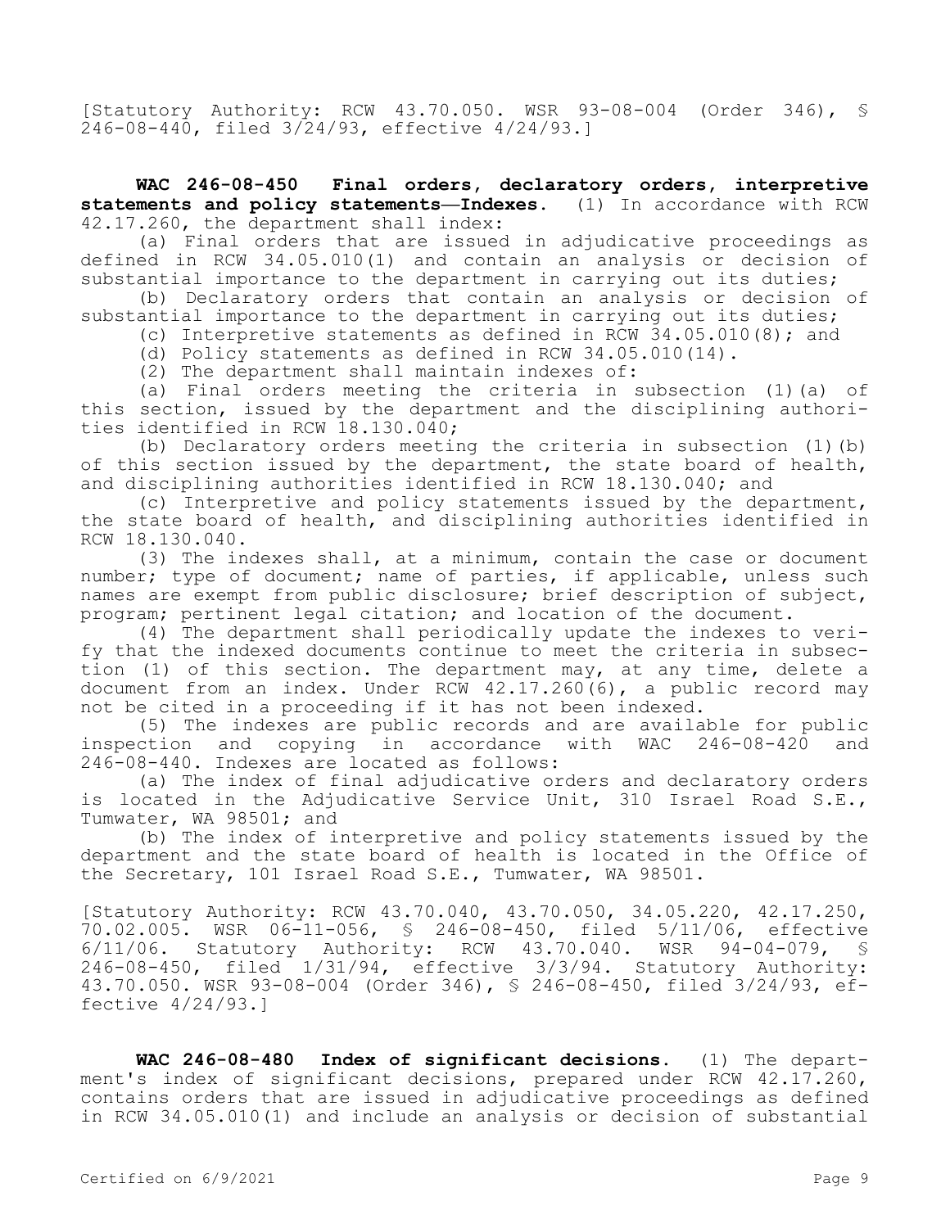[Statutory Authority: RCW 43.70.050. WSR 93-08-004 (Order 346), § 246-08-440, filed 3/24/93, effective 4/24/93.]

**WAC 246-08-450 Final orders, declaratory orders, interpretive statements and policy statements—Indexes.** (1) In accordance with RCW 42.17.260, the department shall index:

(a) Final orders that are issued in adjudicative proceedings as defined in RCW 34.05.010(1) and contain an analysis or decision of substantial importance to the department in carrying out its duties;

(b) Declaratory orders that contain an analysis or decision of substantial importance to the department in carrying out its duties;

(c) Interpretive statements as defined in RCW 34.05.010(8); and

(d) Policy statements as defined in RCW 34.05.010(14).

(2) The department shall maintain indexes of:

(a) Final orders meeting the criteria in subsection (1)(a) of this section, issued by the department and the disciplining authorities identified in RCW 18.130.040;

(b) Declaratory orders meeting the criteria in subsection (1)(b) of this section issued by the department, the state board of health, and disciplining authorities identified in RCW 18.130.040; and

(c) Interpretive and policy statements issued by the department, the state board of health, and disciplining authorities identified in RCW 18.130.040.

(3) The indexes shall, at a minimum, contain the case or document number; type of document; name of parties, if applicable, unless such names are exempt from public disclosure; brief description of subject, program; pertinent legal citation; and location of the document.

(4) The department shall periodically update the indexes to verify that the indexed documents continue to meet the criteria in subsection (1) of this section. The department may, at any time, delete a document from an index. Under RCW 42.17.260(6), a public record may not be cited in a proceeding if it has not been indexed.

(5) The indexes are public records and are available for public inspection and copying in accordance with WAC 246-08-420 and 246-08-440. Indexes are located as follows:

(a) The index of final adjudicative orders and declaratory orders is located in the Adjudicative Service Unit, 310 Israel Road S.E., Tumwater, WA 98501; and

(b) The index of interpretive and policy statements issued by the department and the state board of health is located in the Office of the Secretary, 101 Israel Road S.E., Tumwater, WA 98501.

[Statutory Authority: RCW 43.70.040, 43.70.050, 34.05.220, 42.17.250, 70.02.005. WSR 06-11-056, § 246-08-450, filed 5/11/06, effective 6/11/06. Statutory Authority: RCW 43.70.040. WSR 94-04-079, § 246-08-450, filed 1/31/94, effective 3/3/94. Statutory Authority: 43.70.050. WSR 93-08-004 (Order 346), § 246-08-450, filed 3/24/93, effective 4/24/93.]

**WAC 246-08-480 Index of significant decisions.** (1) The department's index of significant decisions, prepared under RCW 42.17.260, contains orders that are issued in adjudicative proceedings as defined in RCW 34.05.010(1) and include an analysis or decision of substantial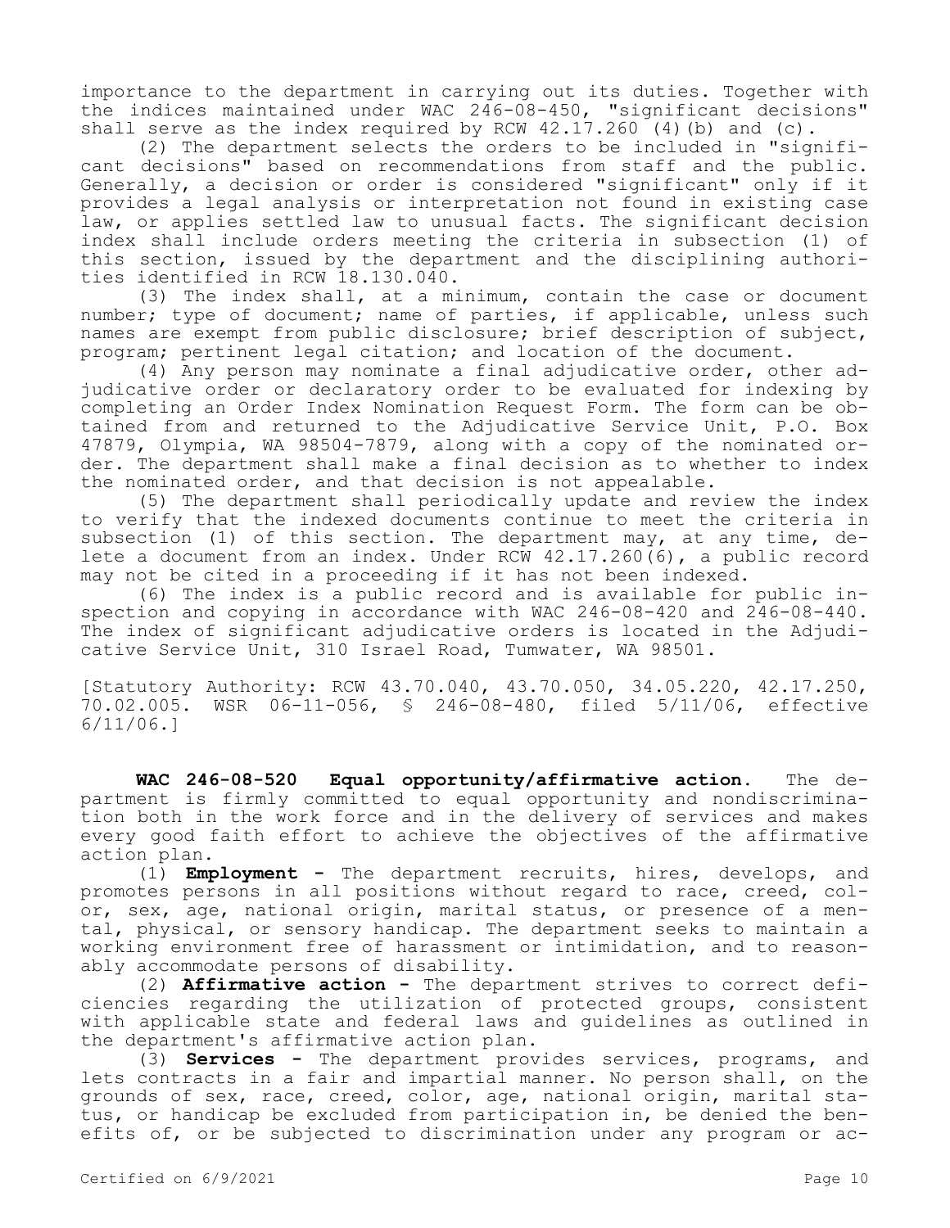importance to the department in carrying out its duties. Together with the indices maintained under WAC  $246-08-450$ , "significant decisions" shall serve as the index required by RCW  $42.17.260(4)$  (b) and (c).

(2) The department selects the orders to be included in "significant decisions" based on recommendations from staff and the public. Generally, a decision or order is considered "significant" only if it provides a legal analysis or interpretation not found in existing case law, or applies settled law to unusual facts. The significant decision index shall include orders meeting the criteria in subsection (1) of this section, issued by the department and the disciplining authorities identified in RCW 18.130.040.

(3) The index shall, at a minimum, contain the case or document number; type of document; name of parties, if applicable, unless such names are exempt from public disclosure; brief description of subject, program; pertinent legal citation; and location of the document.

(4) Any person may nominate a final adjudicative order, other adjudicative order or declaratory order to be evaluated for indexing by completing an Order Index Nomination Request Form. The form can be obtained from and returned to the Adjudicative Service Unit, P.O. Box 47879, Olympia, WA 98504-7879, along with a copy of the nominated order. The department shall make a final decision as to whether to index the nominated order, and that decision is not appealable.

(5) The department shall periodically update and review the index to verify that the indexed documents continue to meet the criteria in subsection (1) of this section. The department may, at any time, delete a document from an index. Under RCW  $42.17.260(6)$ , a public record may not be cited in a proceeding if it has not been indexed.

(6) The index is a public record and is available for public inspection and copying in accordance with WAC 246-08-420 and 246-08-440. The index of significant adjudicative orders is located in the Adjudicative Service Unit, 310 Israel Road, Tumwater, WA 98501.

[Statutory Authority: RCW 43.70.040, 43.70.050, 34.05.220, 42.17.250, 70.02.005. WSR 06-11-056, § 246-08-480, filed 5/11/06, effective 6/11/06.]

**WAC 246-08-520 Equal opportunity/affirmative action.** The department is firmly committed to equal opportunity and nondiscrimination both in the work force and in the delivery of services and makes every good faith effort to achieve the objectives of the affirmative action plan.

(1) **Employment -** The department recruits, hires, develops, and promotes persons in all positions without regard to race, creed, color, sex, age, national origin, marital status, or presence of a mental, physical, or sensory handicap. The department seeks to maintain a working environment free of harassment or intimidation, and to reasonably accommodate persons of disability.

(2) **Affirmative action -** The department strives to correct deficiencies regarding the utilization of protected groups, consistent with applicable state and federal laws and guidelines as outlined in the department's affirmative action plan.

(3) **Services -** The department provides services, programs, and lets contracts in a fair and impartial manner. No person shall, on the grounds of sex, race, creed, color, age, national origin, marital status, or handicap be excluded from participation in, be denied the benefits of, or be subjected to discrimination under any program or ac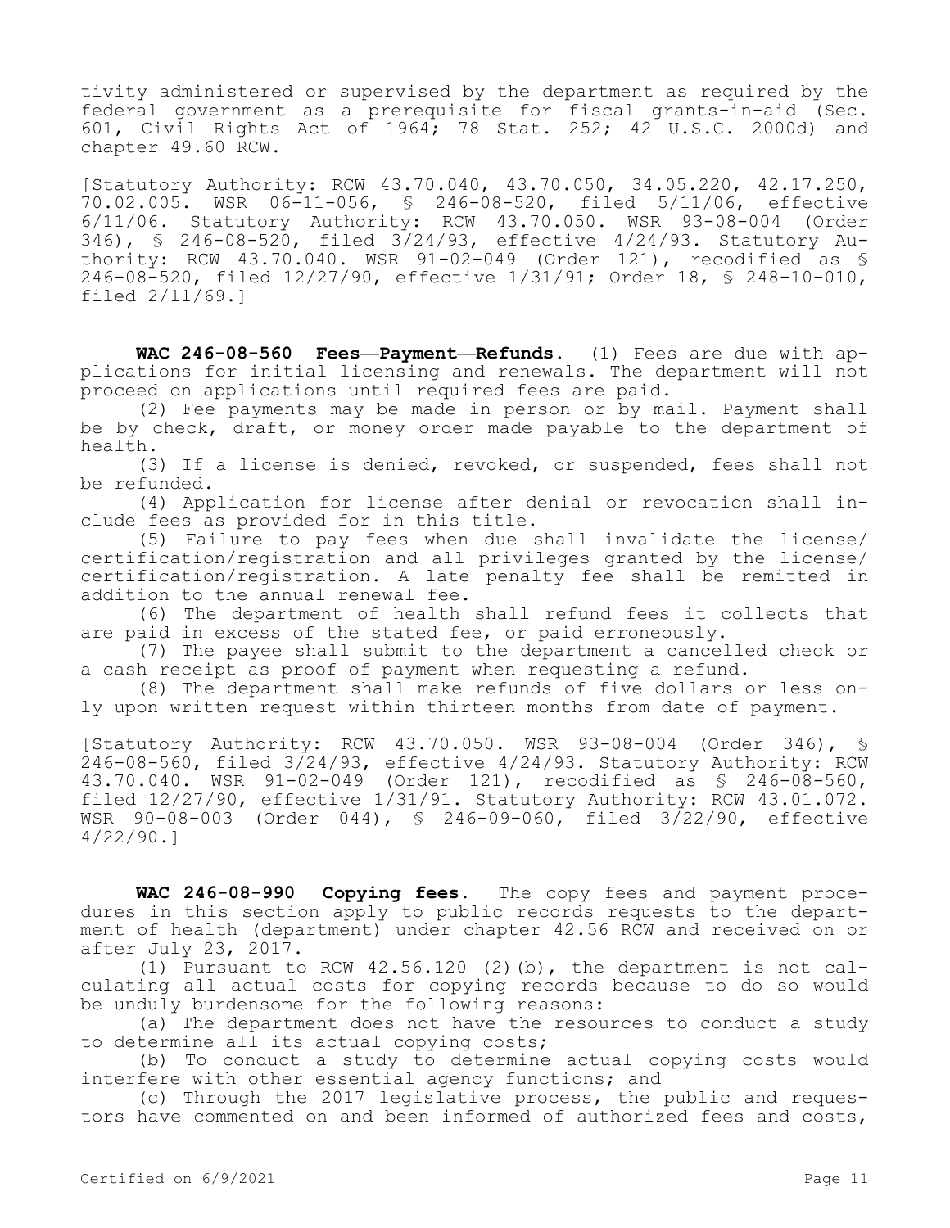tivity administered or supervised by the department as required by the federal government as a prerequisite for fiscal grants-in-aid (Sec. 601, Civil Rights Act of 1964; 78 Stat. 252; 42 U.S.C. 2000d) and chapter 49.60 RCW.

[Statutory Authority: RCW 43.70.040, 43.70.050, 34.05.220, 42.17.250, 70.02.005. WSR 06-11-056, § 246-08-520, filed 5/11/06, effective 6/11/06. Statutory Authority: RCW 43.70.050. WSR 93-08-004 (Order 346), § 246-08-520, filed 3/24/93, effective 4/24/93. Statutory Authority: RCW 43.70.040. WSR 91-02-049 (Order 121), recodified as § 246-08-520, filed 12/27/90, effective 1/31/91; Order 18, § 248-10-010, filed 2/11/69.]

**WAC 246-08-560 Fees—Payment—Refunds.** (1) Fees are due with applications for initial licensing and renewals. The department will not proceed on applications until required fees are paid.

(2) Fee payments may be made in person or by mail. Payment shall be by check, draft, or money order made payable to the department of health.

(3) If a license is denied, revoked, or suspended, fees shall not be refunded.

(4) Application for license after denial or revocation shall include fees as provided for in this title.

(5) Failure to pay fees when due shall invalidate the license/ certification/registration and all privileges granted by the license/ certification/registration. A late penalty fee shall be remitted in addition to the annual renewal fee.

(6) The department of health shall refund fees it collects that are paid in excess of the stated fee, or paid erroneously.

(7) The payee shall submit to the department a cancelled check or a cash receipt as proof of payment when requesting a refund.

(8) The department shall make refunds of five dollars or less only upon written request within thirteen months from date of payment.

[Statutory Authority: RCW 43.70.050. WSR 93-08-004 (Order 346), § 246-08-560, filed 3/24/93, effective 4/24/93. Statutory Authority: RCW 43.70.040. WSR 91-02-049 (Order 121), recodified as § 246-08-560, filed 12/27/90, effective 1/31/91. Statutory Authority: RCW 43.01.072. WSR 90-08-003 (Order 044), § 246-09-060, filed 3/22/90, effective 4/22/90.]

**WAC 246-08-990 Copying fees.** The copy fees and payment procedures in this section apply to public records requests to the department of health (department) under chapter 42.56 RCW and received on or after July 23, 2017.

(1) Pursuant to RCW 42.56.120 (2)(b), the department is not calculating all actual costs for copying records because to do so would be unduly burdensome for the following reasons:

(a) The department does not have the resources to conduct a study to determine all its actual copying costs;

(b) To conduct a study to determine actual copying costs would interfere with other essential agency functions; and

(c) Through the 2017 legislative process, the public and requestors have commented on and been informed of authorized fees and costs,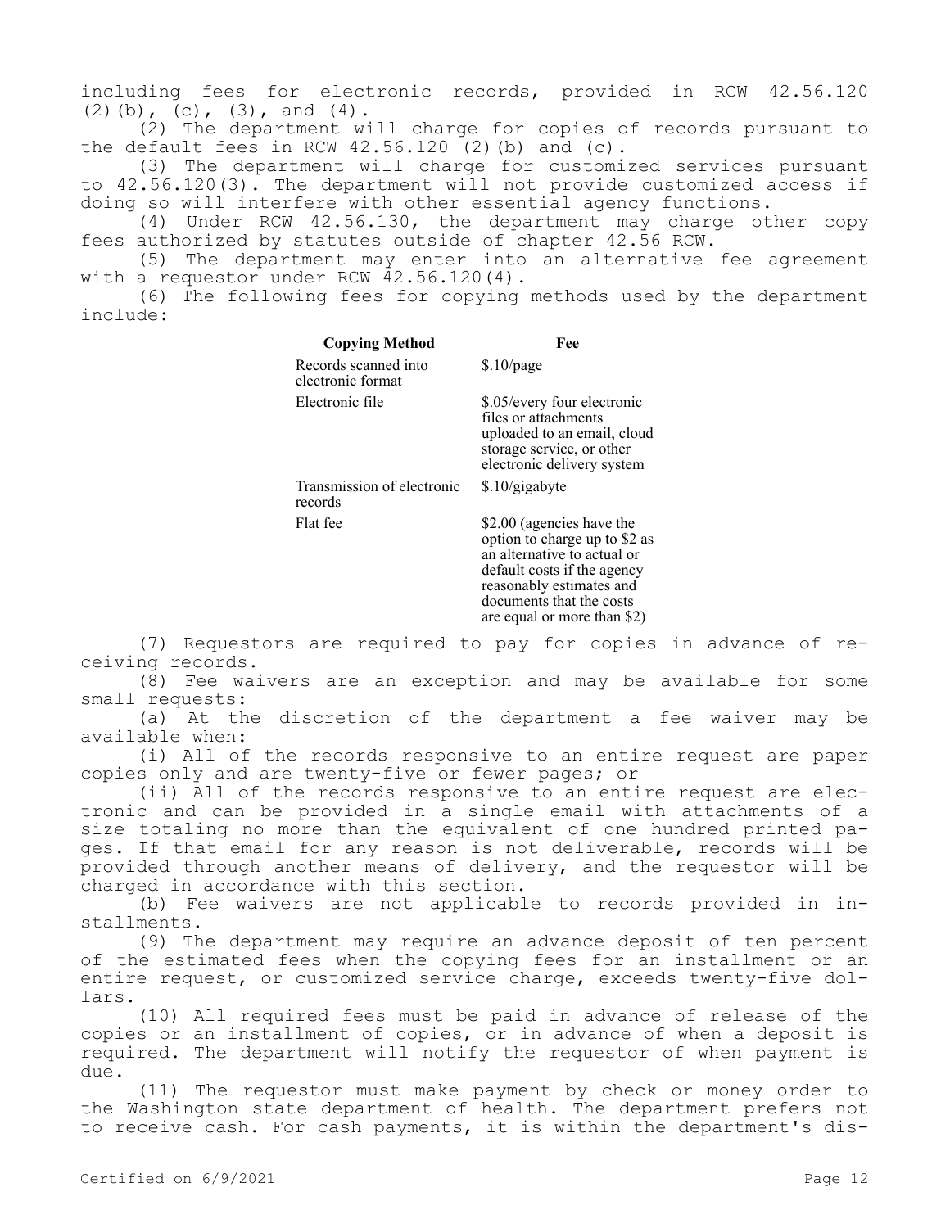including fees for electronic records, provided in RCW 42.56.120 (2)(b), (c),  $(3)$ , and  $(4)$ .

(2) The department will charge for copies of records pursuant to the default fees in RCW  $42.56.120$  (2)(b) and (c).

(3) The department will charge for customized services pursuant to 42.56.120(3). The department will not provide customized access if doing so will interfere with other essential agency functions.

(4) Under RCW 42.56.130, the department may charge other copy fees authorized by statutes outside of chapter 42.56 RCW.

(5) The department may enter into an alternative fee agreement with a requestor under RCW 42.56.120(4).

(6) The following fees for copying methods used by the department include:

| <b>Copying Method</b>                     | Fee                                                                                                                                                                                                             |
|-------------------------------------------|-----------------------------------------------------------------------------------------------------------------------------------------------------------------------------------------------------------------|
| Records scanned into<br>electronic format | $$.10$ /page                                                                                                                                                                                                    |
| Electronic file                           | \$.05/every four electronic<br>files or attachments<br>uploaded to an email, cloud<br>storage service, or other<br>electronic delivery system                                                                   |
| Transmission of electronic<br>records     | \$.10/gigabyte                                                                                                                                                                                                  |
| Flat fee                                  | \$2.00 (agencies have the<br>option to charge up to \$2 as<br>an alternative to actual or<br>default costs if the agency<br>reasonably estimates and<br>documents that the costs<br>are equal or more than \$2) |

(7) Requestors are required to pay for copies in advance of receiving records.

(8) Fee waivers are an exception and may be available for some small requests:

(a) At the discretion of the department a fee waiver may be available when:

(i) All of the records responsive to an entire request are paper copies only and are twenty-five or fewer pages; or

(ii) All of the records responsive to an entire request are electronic and can be provided in a single email with attachments of a size totaling no more than the equivalent of one hundred printed pages. If that email for any reason is not deliverable, records will be provided through another means of delivery, and the requestor will be charged in accordance with this section.

(b) Fee waivers are not applicable to records provided in installments.

(9) The department may require an advance deposit of ten percent of the estimated fees when the copying fees for an installment or an entire request, or customized service charge, exceeds twenty-five dollars.

(10) All required fees must be paid in advance of release of the copies or an installment of copies, or in advance of when a deposit is required. The department will notify the requestor of when payment is due.

(11) The requestor must make payment by check or money order to the Washington state department of health. The department prefers not to receive cash. For cash payments, it is within the department's dis